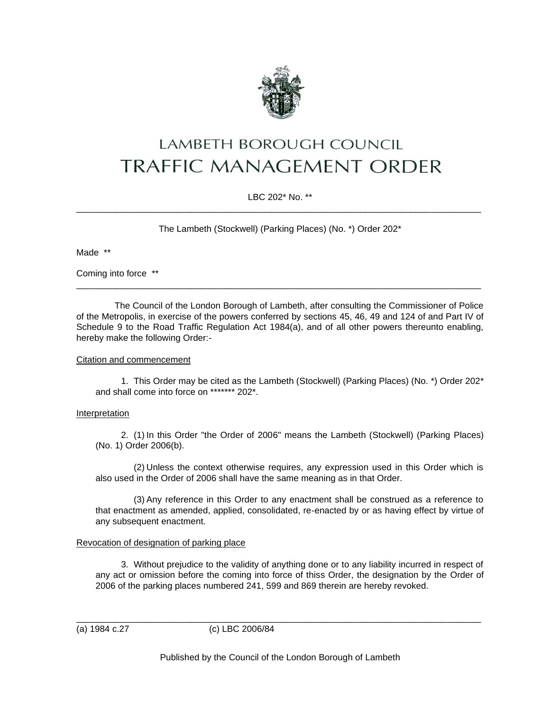

# LAMBETH BOROUGH COUNCIL TRAFFIC MANAGEMENT ORDER

LBC 202\* No. \*\* \_\_\_\_\_\_\_\_\_\_\_\_\_\_\_\_\_\_\_\_\_\_\_\_\_\_\_\_\_\_\_\_\_\_\_\_\_\_\_\_\_\_\_\_\_\_\_\_\_\_\_\_\_\_\_\_\_\_\_\_\_\_\_\_\_\_\_\_\_\_\_\_\_\_\_\_\_\_\_\_\_

The Lambeth (Stockwell) (Parking Places) (No. \*) Order 202\*

Made \*\*

Coming into force \*\*

The Council of the London Borough of Lambeth, after consulting the Commissioner of Police of the Metropolis, in exercise of the powers conferred by sections 45, 46, 49 and 124 of and Part IV of Schedule 9 to the Road Traffic Regulation Act 1984(a), and of all other powers thereunto enabling, hereby make the following Order:-

\_\_\_\_\_\_\_\_\_\_\_\_\_\_\_\_\_\_\_\_\_\_\_\_\_\_\_\_\_\_\_\_\_\_\_\_\_\_\_\_\_\_\_\_\_\_\_\_\_\_\_\_\_\_\_\_\_\_\_\_\_\_\_\_\_\_\_\_\_\_\_\_\_\_\_\_\_\_\_\_\_

### Citation and commencement

1. This Order may be cited as the Lambeth (Stockwell) (Parking Places) (No. \*) Order 202\* and shall come into force on \*\*\*\*\*\*\* 202\*.

## Interpretation

2. (1) In this Order "the Order of 2006" means the Lambeth (Stockwell) (Parking Places) (No. 1) Order 2006(b).

(2) Unless the context otherwise requires, any expression used in this Order which is also used in the Order of 2006 shall have the same meaning as in that Order.

(3) Any reference in this Order to any enactment shall be construed as a reference to that enactment as amended, applied, consolidated, re-enacted by or as having effect by virtue of any subsequent enactment.

## Revocation of designation of parking place

3. Without prejudice to the validity of anything done or to any liability incurred in respect of any act or omission before the coming into force of thiss Order, the designation by the Order of 2006 of the parking places numbered 241, 599 and 869 therein are hereby revoked.

(a) 1984 c.27 (c) LBC 2006/84

\_\_\_\_\_\_\_\_\_\_\_\_\_\_\_\_\_\_\_\_\_\_\_\_\_\_\_\_\_\_\_\_\_\_\_\_\_\_\_\_\_\_\_\_\_\_\_\_\_\_\_\_\_\_\_\_\_\_\_\_\_\_\_\_\_\_\_\_\_\_\_\_\_\_\_\_\_\_\_\_\_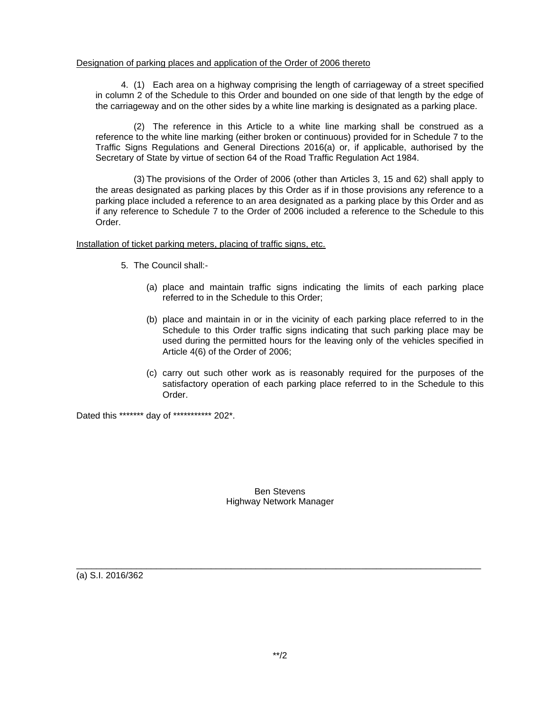#### Designation of parking places and application of the Order of 2006 thereto

4. (1) Each area on a highway comprising the length of carriageway of a street specified in column 2 of the Schedule to this Order and bounded on one side of that length by the edge of the carriageway and on the other sides by a white line marking is designated as a parking place.

(2) The reference in this Article to a white line marking shall be construed as a reference to the white line marking (either broken or continuous) provided for in Schedule 7 to the Traffic Signs Regulations and General Directions 2016(a) or, if applicable, authorised by the Secretary of State by virtue of section 64 of the Road Traffic Regulation Act 1984.

(3) The provisions of the Order of 2006 (other than Articles 3, 15 and 62) shall apply to the areas designated as parking places by this Order as if in those provisions any reference to a parking place included a reference to an area designated as a parking place by this Order and as if any reference to Schedule 7 to the Order of 2006 included a reference to the Schedule to this Order.

Installation of ticket parking meters, placing of traffic signs, etc.

- 5. The Council shall:-
	- (a) place and maintain traffic signs indicating the limits of each parking place referred to in the Schedule to this Order;
	- (b) place and maintain in or in the vicinity of each parking place referred to in the Schedule to this Order traffic signs indicating that such parking place may be used during the permitted hours for the leaving only of the vehicles specified in Article 4(6) of the Order of 2006;
	- (c) carry out such other work as is reasonably required for the purposes of the satisfactory operation of each parking place referred to in the Schedule to this Order.

Dated this \*\*\*\*\*\*\* day of \*\*\*\*\*\*\*\*\*\*\* 202\*.

Ben Stevens Highway Network Manager

\_\_\_\_\_\_\_\_\_\_\_\_\_\_\_\_\_\_\_\_\_\_\_\_\_\_\_\_\_\_\_\_\_\_\_\_\_\_\_\_\_\_\_\_\_\_\_\_\_\_\_\_\_\_\_\_\_\_\_\_\_\_\_\_\_\_\_\_\_\_\_\_\_\_\_\_\_\_\_\_\_

(a) S.I. 2016/362